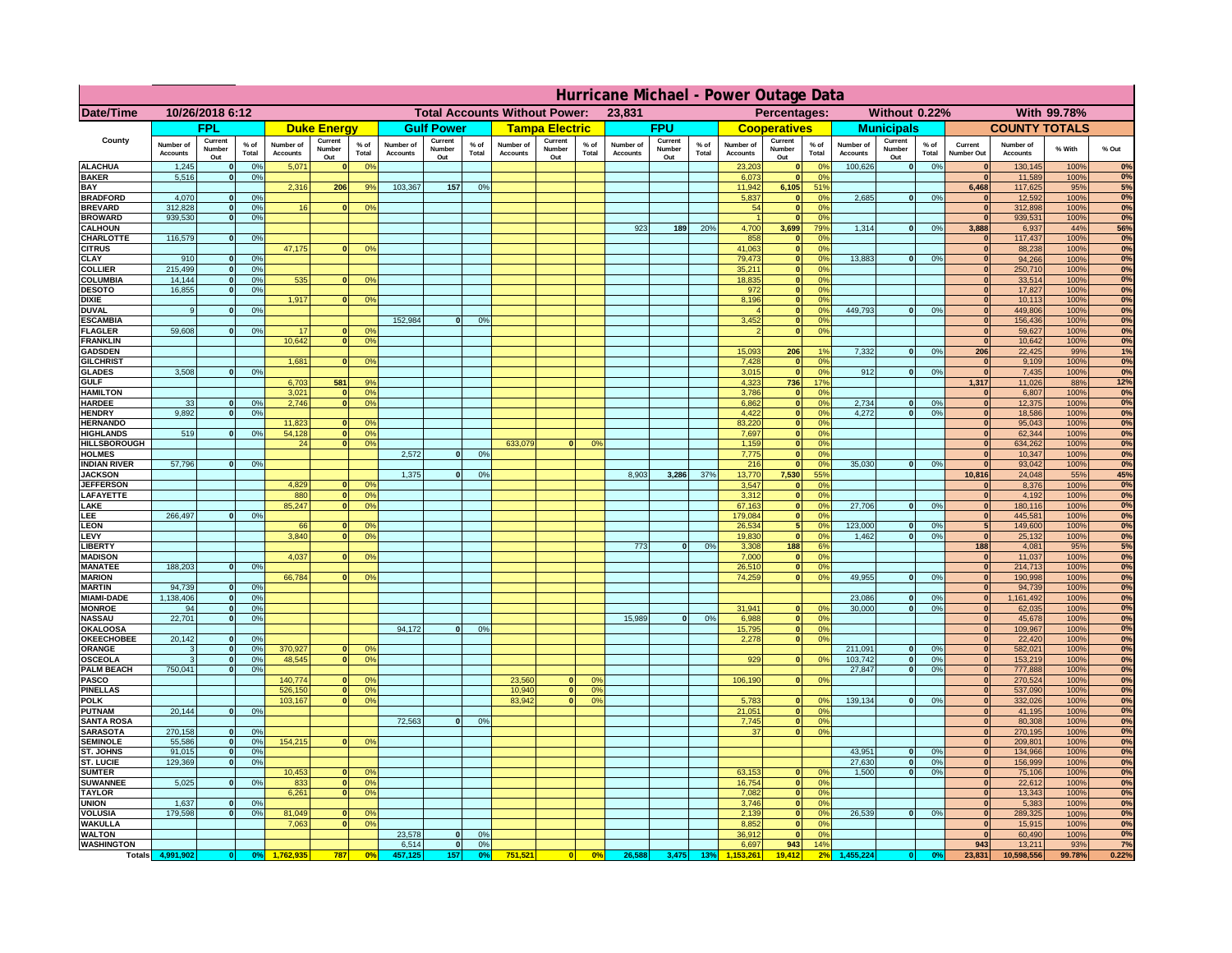|                                      | Hurricane Michael - Power Outage Data |                              |                                  |                              |                                 |                                  |                                                |                          |                 |                              |                          |                                              |                              |                          |               |                              |                              |                                               |                              |                              |                 |                              |                              |              |             |
|--------------------------------------|---------------------------------------|------------------------------|----------------------------------|------------------------------|---------------------------------|----------------------------------|------------------------------------------------|--------------------------|-----------------|------------------------------|--------------------------|----------------------------------------------|------------------------------|--------------------------|---------------|------------------------------|------------------------------|-----------------------------------------------|------------------------------|------------------------------|-----------------|------------------------------|------------------------------|--------------|-------------|
| Date/Time                            | 10/26/2018 6:12                       |                              |                                  |                              |                                 |                                  | <b>Total Accounts Without Power:</b><br>23,831 |                          |                 |                              |                          | Without 0.22%<br>With 99.78%<br>Percentages: |                              |                          |               |                              |                              |                                               |                              |                              |                 |                              |                              |              |             |
|                                      |                                       | <b>FPL</b>                   |                                  |                              | <b>Duke Energy</b>              |                                  |                                                | <b>Gulf Power</b>        |                 |                              | <b>Tampa Electric</b>    |                                              |                              | <b>FPU</b>               |               |                              | <b>Cooperatives</b>          |                                               |                              | <b>Municipals</b>            |                 |                              | <b>COUNTY TOTALS</b>         |              |             |
| County                               | Number of<br><b>Accounts</b>          | Current<br>Number<br>Out     | $%$ of<br>Total                  | Number of<br><b>Accounts</b> | Current<br><b>Number</b><br>Out | $%$ of<br>Total                  | Number of<br>Accounts                          | Current<br>Number<br>Out | $%$ of<br>Total | Number of<br><b>Accounts</b> | Current<br>Number<br>Out | $%$ of<br>Total                              | Number of<br><b>Accounts</b> | Current<br>Number<br>Out | % of<br>Total | Number of<br><b>Accounts</b> | Current<br>Number<br>Out     | $%$ of<br>Total                               | Number of<br><b>Accounts</b> | Current<br>Number<br>Out     | $%$ of<br>Total | Current<br>Number Out        | Number of<br><b>Accounts</b> | % With       | % Out       |
| <b>ALACHUA</b><br><b>BAKER</b>       | 1,245<br>5,516                        | $\mathbf{0}$<br>$\mathbf{0}$ | 0%<br>0%                         | 5,071                        |                                 | 0 <sup>9</sup>                   |                                                |                          |                 |                              |                          |                                              |                              |                          |               | 23,203                       | $\bf{0}$<br>$\bf{0}$         | $^{\circ}$<br>0 <sup>9</sup>                  | 100,626                      | 0                            | 0%              | $\mathbf{0}$<br>$\mathbf{0}$ | 130,145<br>11,589            | 100%<br>100% | 0%<br>0%    |
| BAY                                  |                                       |                              |                                  | 2,316                        | 206                             | 9%                               | 103,367                                        | 157                      | 0%              |                              |                          |                                              |                              |                          |               | 6,073<br>11,942              | 6,105                        | 51%                                           |                              |                              |                 | 6,468                        | 117,625                      | 95%          | 5%          |
| <b>BRADFORD</b><br><b>BREVARD</b>    | 4,070<br>312.828                      | $\Omega$<br>$\mathbf{0}$     | 0%<br>0 <sup>9</sup>             | 16                           |                                 | 0 <sup>o</sup>                   |                                                |                          |                 |                              |                          |                                              |                              |                          |               | 5,837<br>54                  | 0 <br> 0                     | 0 <sup>9</sup><br>0 <sup>9</sup>              | 2,685                        | 0                            | 0%              | $\Omega$<br> 0               | 12,592<br>312,898            | 100%<br>100% | 0%<br>0%    |
| <b>BROWARD</b>                       | 939.530                               | $\mathbf{0}$                 | 0%                               |                              |                                 |                                  |                                                |                          |                 |                              |                          |                                              |                              |                          |               |                              | 0                            | 0%                                            |                              |                              |                 | 0                            | 939,531                      | 100%         | 0%          |
| <b>CALHOUN</b>                       |                                       |                              |                                  |                              |                                 |                                  |                                                |                          |                 |                              |                          |                                              | 923                          | 189                      | 20%           | 4,700                        | 3,699                        | 79%                                           | 1,314                        | 0                            | 0%              | 3,888                        | 6,937                        | 44%          | 56%         |
| CHARLOTTE<br><b>CITRUS</b>           | 116,579                               | $\mathbf{0}$                 | 0%                               | 47,175                       |                                 | 0 <sup>o</sup>                   |                                                |                          |                 |                              |                          |                                              |                              |                          |               | 858<br>41.063                | 0 <br> 0                     | 0%<br>0 <sup>9</sup>                          |                              |                              |                 | $\mathbf{0}$<br>$\mathbf{0}$ | 117,437<br>88.238            | 100%<br>100% | 0%<br>0%    |
| CLAY                                 | 910                                   |                              | 0 <sup>9</sup>                   |                              |                                 |                                  |                                                |                          |                 |                              |                          |                                              |                              |                          |               | 79,473                       | 0                            | 0%                                            | 13,883                       | 0                            | 0%              | $\bf{0}$                     | 94,266                       | 100%         | 0%          |
| <b>COLLIER</b>                       | 215,499                               |                              | 0%                               |                              |                                 |                                  |                                                |                          |                 |                              |                          |                                              |                              |                          |               | 35,211                       | 0                            | 0 <sup>9</sup>                                |                              |                              |                 | $\mathbf{0}$                 | 250,710                      | 100%         | 0%          |
| COLUMBIA<br><b>DESOTO</b>            | 14,144<br>16,855                      |                              | 0%<br>0%                         | 535                          |                                 | 0 <sup>o</sup>                   |                                                |                          |                 |                              |                          |                                              |                              |                          |               | 18,835<br>972                | 0 <br> 0                     | 0 <sup>9</sup><br>0 <sup>9</sup>              |                              |                              |                 | $\mathbf{0}$                 | 33,514<br>17,827             | 100%<br>100% | 0%<br>0%    |
| <b>DIXIE</b>                         |                                       |                              |                                  | 1,917                        |                                 | 0 <sup>o</sup>                   |                                                |                          |                 |                              |                          |                                              |                              |                          |               | 8,196                        | 0                            | 0 <sup>9</sup>                                |                              |                              |                 |                              | 10,113                       | 100%         | 0%          |
| <b>DUVAL</b>                         | 9                                     |                              | 0 <sup>9</sup>                   |                              |                                 |                                  |                                                |                          |                 |                              |                          |                                              |                              |                          |               |                              | 0                            | 0 <sup>9</sup>                                | 449,793                      | 0                            | 0%              | $\mathbf{0}$                 | 449,806                      | 100%         | 0%          |
| <b>ESCAMBIA</b><br><b>FLAGLER</b>    | 59,608                                | $\mathbf{0}$                 | 0 <sup>9</sup>                   | 17                           |                                 | 0 <sup>9</sup>                   | 152,984                                        | $\Omega$                 | 0 <sup>9</sup>  |                              |                          |                                              |                              |                          |               | 3,452                        | $\mathbf{0}$<br>$\mathbf{0}$ | 0 <sup>o</sup><br>0 <sup>9</sup>              |                              |                              |                 | $\mathbf{0}$<br>$\mathbf{0}$ | 156,436<br>59,627            | 100%<br>100% | $0\%$<br>0% |
| <b>FRANKLIN</b>                      |                                       |                              |                                  | 10,642                       |                                 | 0 <sup>9</sup>                   |                                                |                          |                 |                              |                          |                                              |                              |                          |               |                              |                              |                                               |                              |                              |                 | $\mathbf{0}$                 | 10,642                       | 100%         | 0%          |
| <b>GADSDEN</b>                       |                                       |                              |                                  |                              |                                 |                                  |                                                |                          |                 |                              |                          |                                              |                              |                          |               | 15,093                       | 206                          | 1%                                            | 7,332                        | 0                            | 0%              | 206                          | 22,425                       | 99%          | 1%          |
| <b>GILCHRIST</b><br><b>GLADES</b>    | 3.508                                 |                              | 0%                               | 1.681                        |                                 | 0 <sup>9</sup>                   |                                                |                          |                 |                              |                          |                                              |                              |                          |               | 7,428<br>3,015               | 0 <br> 0                     | 0%<br>0%                                      | 912                          | 0                            | 0%              | $\Omega$<br> 0               | 9,109<br>7,435               | 100%<br>100% | 0%<br>0%    |
| <b>GULF</b>                          |                                       |                              |                                  | 6,703                        | 581                             | 9%                               |                                                |                          |                 |                              |                          |                                              |                              |                          |               | 4,323                        | 736                          | 17%                                           |                              |                              |                 | 1,317                        | 11,026                       | 88%          | 12%         |
| <b>HAMILTON</b>                      |                                       |                              |                                  | 3,021                        |                                 | 0 <sup>9</sup>                   |                                                |                          |                 |                              |                          |                                              |                              |                          |               | 3,786                        | 0                            | 0%                                            |                              |                              |                 | 0                            | 6,807                        | 100%         | 0%          |
| <b>HARDEE</b><br><b>HENDRY</b>       | 33<br>9.892                           | $\mathbf{0}$<br>$\Omega$     | 0%<br>0 <sup>9</sup>             | 2,746                        |                                 | 0 <sup>9</sup>                   |                                                |                          |                 |                              |                          |                                              |                              |                          |               | 6,862<br>4,422               |                              | 0 <br>0%<br> 0 <br>0%                         | 2,734<br>4.272               | $\mathbf{0}$<br> 0           | 0%<br>0%        | 0 <br> 0                     | 12,375<br>18,586             | 100%<br>100% | 0%<br>0%    |
| <b>HERNANDO</b>                      |                                       |                              |                                  | 11,823                       |                                 | 0 <sup>o</sup>                   |                                                |                          |                 |                              |                          |                                              |                              |                          |               | 83,220                       |                              | 0 <br>0 <sup>9</sup>                          |                              |                              |                 | 0                            | 95,043                       | 100%         | 0%          |
| <b>HIGHLANDS</b>                     | 519                                   | $\Omega$                     | 0%                               | 54,128                       |                                 | 0 <sup>9</sup>                   |                                                |                          |                 |                              |                          |                                              |                              |                          |               | 7,697                        |                              | 0 <br>0 <sup>9</sup>                          |                              |                              |                 | 0                            | 62,344                       | 100%         | 0%          |
| <b>HILLSBOROUGH</b><br><b>HOLMES</b> |                                       |                              |                                  | 24                           |                                 | 0 <sup>o</sup>                   | 2,572                                          | $\Omega$                 | 0 <sup>9</sup>  | 633,079                      | $\Omega$                 | 0 <sup>9</sup>                               |                              |                          |               | 1,159<br>7,775               |                              | 0 <br>0 <sup>9</sup><br> 0 <br>0 <sup>9</sup> |                              |                              |                 | 0 <br>$\mathbf{0}$           | 634,262<br>10,347            | 100%<br>100% | 0%<br>0%    |
| <b>INDIAN RIVER</b>                  | 57,796                                |                              | 0%                               |                              |                                 |                                  |                                                |                          |                 |                              |                          |                                              |                              |                          |               | 216                          | 0                            | 0 <sup>9</sup>                                | 35.030                       | 0                            | 0%              | $\mathbf{0}$                 | 93,042                       | 100%         | 0%          |
| <b>JACKSON</b>                       |                                       |                              |                                  |                              |                                 |                                  | 1,375                                          | $\Omega$                 | 0 <sup>9</sup>  |                              |                          |                                              | 8,903                        | 3,286                    | 37%           | 13,770                       | 7,530                        | 55%                                           |                              |                              |                 | 10,816                       | 24,048                       | 55%          | 45%         |
| <b>JEFFERSON</b><br>LAFAYETTE        |                                       |                              |                                  | 4.829<br>880                 | n.                              | 0 <sup>9</sup><br>0 <sup>9</sup> |                                                |                          |                 |                              |                          |                                              |                              |                          |               | 3.547<br>3.312               | $\mathbf{0}$                 | 0 <sup>9</sup><br>$\mathbf{0}$<br>0%          |                              |                              |                 | $\mathbf{0}$<br> 0           | 8,376<br>4.192               | 100%<br>100% | 0%<br>0%    |
| LAKE                                 |                                       |                              |                                  | 85,247                       |                                 | 0%                               |                                                |                          |                 |                              |                          |                                              |                              |                          |               | 67,163                       |                              | 0 <br>0%                                      | 27,706                       | $\mathbf{0}$                 | 0%              | 0                            | 180,116                      | 100%         | 0%          |
| LEE                                  | 266,497                               |                              | 0%                               |                              |                                 |                                  |                                                |                          |                 |                              |                          |                                              |                              |                          |               | 179,084                      |                              | 0%<br> 0                                      |                              |                              |                 | 0                            | 445,581                      | 100%         | 0%          |
| <b>LEON</b><br>LEVY                  |                                       |                              |                                  | 66<br>3,840                  |                                 | 0 <sup>9</sup><br>0 <sup>9</sup> |                                                |                          |                 |                              |                          |                                              |                              |                          |               | 26,534<br>19,830             | 0                            | 5 <sup>1</sup><br>0%<br>0%                    | 123,000<br>1,462             | $\mathbf{0}$<br>$\mathbf{0}$ | 0%<br>0%        | 5 <sup>1</sup><br> 0         | 149,600<br>25,132            | 100%<br>100% | $0\%$<br>0% |
| <b>LIBERT</b>                        |                                       |                              |                                  |                              |                                 |                                  |                                                |                          |                 |                              |                          |                                              | 773                          | $\Omega$                 | 0%            | 3,308                        | 188                          | 6%                                            |                              |                              |                 | 188                          | 4,081                        | 95%          | 5%          |
| <b>MADISON</b>                       |                                       |                              |                                  | 4,037                        |                                 | 0 <sup>o</sup>                   |                                                |                          |                 |                              |                          |                                              |                              |                          |               | 7,000                        |                              | 0 <br>0%                                      |                              |                              |                 | 0                            | 11,037                       | 100%         | 0%          |
| <b>MANATEE</b><br><b>MARION</b>      | 188,203                               | $\mathbf{0}$                 | 0 <sup>9</sup>                   | 66,784                       |                                 | 0 <sup>9</sup>                   |                                                |                          |                 |                              |                          |                                              |                              |                          |               | 26,510<br>74,259             | $\Omega$                     | 0%<br> 0 <br>0%                               | 49,955                       | 0                            | 0%              | 0 <br> 0                     | 214,713<br>190,998           | 100%<br>100% | 0%<br>0%    |
| <b>MARTIN</b>                        | 94,739                                | $\mathbf{0}$                 | 0%                               |                              |                                 |                                  |                                                |                          |                 |                              |                          |                                              |                              |                          |               |                              |                              |                                               |                              |                              |                 | 0                            | 94,739                       | 100%         | 0%          |
| <b>MIAMI-DADE</b>                    | 1,138,406                             | 0                            | 0%                               |                              |                                 |                                  |                                                |                          |                 |                              |                          |                                              |                              |                          |               |                              |                              |                                               | 23,086                       | 0                            | 0%              | 0                            | 1,161,492                    | 100%         | 0%          |
| <b>MONROE</b><br><b>NASSAU</b>       | 94<br>22,701                          | -ol<br> 0                    | 0%<br>0%                         |                              |                                 |                                  |                                                |                          |                 |                              |                          |                                              | 15,989                       | 0                        | 0%            | 31,941<br>6,988              | $\mathbf{0}$                 | 0 <sup>9</sup><br> 0 <br>0%                   | 30,000                       | 0                            | 0%              | $\mathbf{0}$<br> 0           | 62,035<br>45,678             | 100%<br>100% | 0%<br>0%    |
| <b>OKALOOSA</b>                      |                                       |                              |                                  |                              |                                 |                                  | 94,172                                         | 0                        | 0%              |                              |                          |                                              |                              |                          |               | 15,795                       |                              | 0%<br> 0                                      |                              |                              |                 | 0                            | 109,967                      | 100%         | 0%          |
| <b>OKEECHOBEE</b>                    | 20,142                                | 0                            | 0%                               |                              |                                 |                                  |                                                |                          |                 |                              |                          |                                              |                              |                          |               | 2,278                        |                              | 0%<br> 0                                      |                              |                              |                 | 0                            | 22,420                       | 100%         | 0%          |
| ORANGE<br><b>OSCEOLA</b>             | 3<br>3                                | 0 <br> 0                     | 0%<br>0%                         | 370,927<br>48,545            | $\mathbf{0}$                    | 0 <sup>9</sup><br>0%             |                                                |                          |                 |                              |                          |                                              |                              |                          |               | 929                          |                              | 0 <br>0%                                      | 211,091<br>103,742           | 0 <br> 0                     | 0%<br>0%        | 0 <br> 0                     | 582,021<br>153,219           | 100%<br>100% | 0%<br>0%    |
| <b>PALM BEACH</b>                    | 750,041                               | 0                            | 0%                               |                              |                                 |                                  |                                                |                          |                 |                              |                          |                                              |                              |                          |               |                              |                              |                                               | 27,847                       | 0                            | 0%              | 0                            | 777,888                      | 100%         | 0%          |
| <b>PASCO</b>                         |                                       |                              |                                  | 140,774                      |                                 | 0 <sup>9</sup>                   |                                                |                          |                 | 23,560                       | $\mathbf{0}$             | O <sup>o</sup>                               |                              |                          |               | 106,190                      |                              | 0%<br> 0                                      |                              |                              |                 | 0                            | 270,524                      | 100%         | 0%          |
| <b>PINELLAS</b><br><b>POLK</b>       |                                       |                              |                                  | 526,150<br>103,167           | $\mathbf{0}$<br>$\Omega$        | 0%<br>0 <sup>9</sup>             |                                                |                          |                 | 10,940<br>83,942             | 0 <br> 0                 | 0 <sup>9</sup><br>0 <sup>o</sup>             |                              |                          |               | 5,783                        |                              | 0 <br>$^{\circ}$                              | 139,134                      | 0                            | 0%              | 0 <br> 0                     | 537,090<br>332,026           | 100%<br>100% | 0%<br>0%    |
| <b>PUTNAM</b>                        | 20,144                                | 0                            | 0%                               |                              |                                 |                                  |                                                |                          |                 |                              |                          |                                              |                              |                          |               | 21,051                       |                              | 0 <sup>9</sup><br> 0                          |                              |                              |                 | 0                            | 41,195                       | 100%         | 0%          |
| <b>SANTA ROSA</b>                    |                                       |                              |                                  |                              |                                 |                                  | 72,563                                         | 0                        | 0%              |                              |                          |                                              |                              |                          |               | 7,745                        |                              | 0 <sup>9</sup><br> 0                          |                              |                              |                 | $\Omega$                     | 80,308                       | 100%         | 0%          |
| <b>SARASOTA</b><br><b>SEMINOLE</b>   | 270,158<br>55,586                     | 0 <br> 0                     | 0 <sup>9</sup><br>0 <sup>9</sup> | 154,215                      | $\mathbf{0}$                    | 0 <sup>9</sup>                   |                                                |                          |                 |                              |                          |                                              |                              |                          |               | 37                           |                              | 0%<br> 0                                      |                              |                              |                 | $\mathbf{0}$<br> 0           | 270,195<br>209,801           | 100%<br>100% | 0%<br>0%    |
| ST. JOHNS                            | 91,015                                | 0                            | 0%                               |                              |                                 |                                  |                                                |                          |                 |                              |                          |                                              |                              |                          |               |                              |                              |                                               | 43,951                       | 0                            | 0%              | $\mathbf{0}$                 | 134,966                      | 100%         | 0%          |
| ST. LUCIE                            | 129,369                               | $\mathbf{0}$                 | 0%                               |                              |                                 |                                  |                                                |                          |                 |                              |                          |                                              |                              |                          |               |                              |                              |                                               | 27,630                       | 0                            | 0%              | $\mathbf{0}$                 | 156,999                      | 100%         | 0%          |
| <b>SUMTER</b><br><b>SUWANNEE</b>     | 5,025                                 | $\Omega$                     | 0%                               | 10,453<br>833                | $\mathbf{0}$                    | 0 <sup>9</sup><br>0 <sup>9</sup> |                                                |                          |                 |                              |                          |                                              |                              |                          |               | 63,153<br>16,754             |                              | 0 <sup>9</sup><br>$\mathbf{0}$<br> 0 <br>0%   | 1.500                        | 0                            | 0%              | 0 <br>$\mathbf{0}$           | 75,106<br>22,612             | 100%<br>100% | 0%<br>0%    |
| <b>TAYLOR</b>                        |                                       |                              |                                  | 6,261                        |                                 | 0%                               |                                                |                          |                 |                              |                          |                                              |                              |                          |               | 7,082                        | 0                            | 0%                                            |                              |                              |                 | 0                            | 13,343                       | 100%         | 0%          |
| <b>UNION</b>                         | 1.637                                 | $\mathbf{0}$                 | 0%                               |                              |                                 |                                  |                                                |                          |                 |                              |                          |                                              |                              |                          |               | 3.746                        |                              | 0%<br> 0                                      |                              |                              |                 | $\mathbf{0}$                 | 5,383                        | 100%         | $0\%$       |
| <b>VOLUSIA</b><br><b>WAKULLA</b>     | 179.598                               | $\mathbf{0}$                 | 0%                               | 81,049<br>7,063              |                                 | 0 <sup>9</sup><br>0 <sup>o</sup> |                                                |                          |                 |                              |                          |                                              |                              |                          |               | 2.139<br>8,852               | 0                            | 0 <br>0%<br>0%                                | 26.539                       | 0                            | 0%              | $\mathbf{0}$<br>$\mathbf{0}$ | 289,325<br>15,915            | 100%<br>100% | 0%<br>0%    |
| <b>WALTON</b>                        |                                       |                              |                                  |                              |                                 |                                  | 23,578                                         | 0                        | 0 <sup>9</sup>  |                              |                          |                                              |                              |                          |               | 36,912                       | 0                            | 0%                                            |                              |                              |                 | 0                            | 60,490                       | 100%         | 0%          |
| <b>WASHINGTON</b>                    |                                       |                              |                                  |                              |                                 |                                  | 6,514                                          | 0                        | 0%              |                              |                          |                                              |                              |                          |               | 6,697                        | 943                          | 14%                                           |                              |                              |                 | 943                          | 13,211                       | 93%          | 7%          |
| <b>Totals</b>                        | 4,991,902                             | 0                            | O <sup>o</sup>                   |                              | 787                             | 0 <sup>5</sup>                   | 457,125                                        | 157                      | 0%              | 751,521                      | 0                        | 0%                                           | 26,588                       | 3,475                    | 13%           |                              | 19,412                       |                                               | 455,224                      |                              | 0 <sup>o</sup>  | 23,831                       | 10,598,556                   | 99.78%       | 0.22%       |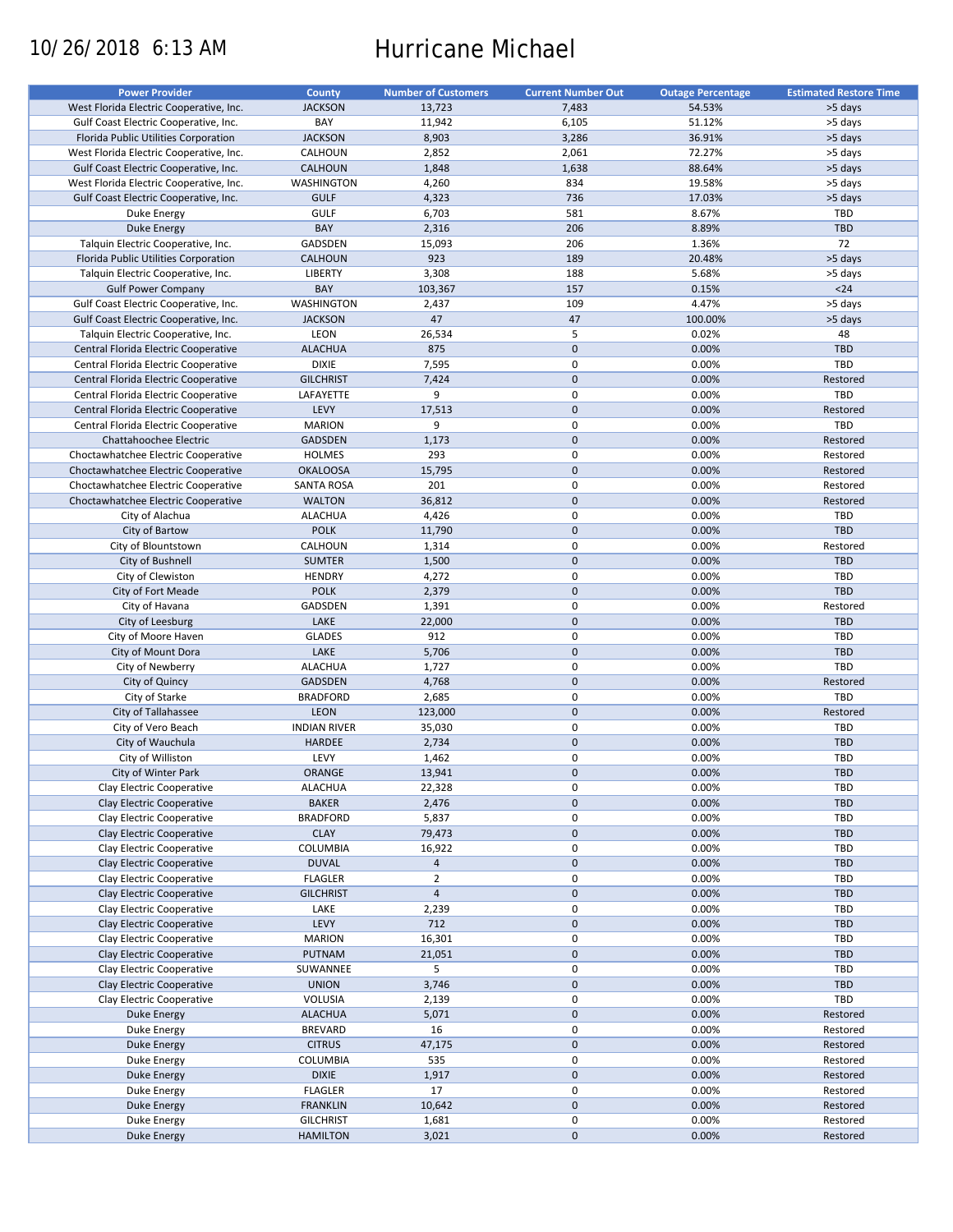# 10/26/2018 6:13 AM Hurricane Michael

| <b>Power Provider</b>                   | <b>County</b>       | <b>Number of Customers</b> | <b>Current Number Out</b> | <b>Outage Percentage</b> | <b>Estimated Restore Time</b> |
|-----------------------------------------|---------------------|----------------------------|---------------------------|--------------------------|-------------------------------|
| West Florida Electric Cooperative, Inc. | <b>JACKSON</b>      | 13,723                     | 7,483                     | 54.53%                   | >5 days                       |
| Gulf Coast Electric Cooperative, Inc.   | BAY                 | 11,942                     | 6,105                     | 51.12%                   | >5 days                       |
| Florida Public Utilities Corporation    | <b>JACKSON</b>      | 8,903                      | 3,286                     | 36.91%                   | >5 days                       |
|                                         |                     |                            |                           |                          |                               |
| West Florida Electric Cooperative, Inc. | CALHOUN             | 2,852                      | 2,061                     | 72.27%                   | >5 days                       |
| Gulf Coast Electric Cooperative, Inc.   | <b>CALHOUN</b>      | 1,848                      | 1,638                     | 88.64%                   | >5 days                       |
| West Florida Electric Cooperative, Inc. | <b>WASHINGTON</b>   | 4,260                      | 834                       | 19.58%                   | >5 days                       |
| Gulf Coast Electric Cooperative, Inc.   | <b>GULF</b>         | 4,323                      | 736                       | 17.03%                   | >5 days                       |
| Duke Energy                             | <b>GULF</b>         | 6,703                      | 581                       | 8.67%                    | TBD                           |
| Duke Energy                             | BAY                 | 2,316                      | 206                       | 8.89%                    | <b>TBD</b>                    |
| Talquin Electric Cooperative, Inc.      | GADSDEN             | 15,093                     | 206                       | 1.36%                    | 72                            |
| Florida Public Utilities Corporation    | <b>CALHOUN</b>      | 923                        | 189                       | 20.48%                   | >5 days                       |
| Talquin Electric Cooperative, Inc.      | <b>LIBERTY</b>      | 3,308                      | 188                       | 5.68%                    | >5 days                       |
|                                         |                     |                            |                           |                          |                               |
| <b>Gulf Power Company</b>               | BAY                 | 103,367                    | 157                       | 0.15%                    | $<24$                         |
| Gulf Coast Electric Cooperative, Inc.   | <b>WASHINGTON</b>   | 2,437                      | 109                       | 4.47%                    | >5 days                       |
| Gulf Coast Electric Cooperative, Inc.   | <b>JACKSON</b>      | 47                         | 47                        | 100.00%                  | >5 days                       |
| Talquin Electric Cooperative, Inc.      | LEON                | 26,534                     | 5                         | 0.02%                    | 48                            |
| Central Florida Electric Cooperative    | <b>ALACHUA</b>      | 875                        | $\mathbf{0}$              | 0.00%                    | <b>TBD</b>                    |
| Central Florida Electric Cooperative    | <b>DIXIE</b>        | 7,595                      | 0                         | 0.00%                    | TBD                           |
| Central Florida Electric Cooperative    | <b>GILCHRIST</b>    | 7,424                      | $\mathbf 0$               | 0.00%                    | Restored                      |
| Central Florida Electric Cooperative    | LAFAYETTE           | 9                          | $\mathbf 0$               | 0.00%                    | TBD                           |
| Central Florida Electric Cooperative    | LEVY                | 17,513                     | $\mathbf 0$               | 0.00%                    | Restored                      |
|                                         |                     |                            |                           |                          |                               |
| Central Florida Electric Cooperative    | <b>MARION</b>       | 9                          | $\mathsf 0$               | 0.00%                    | <b>TBD</b>                    |
| Chattahoochee Electric                  | <b>GADSDEN</b>      | 1,173                      | $\mathbf 0$               | 0.00%                    | Restored                      |
| Choctawhatchee Electric Cooperative     | <b>HOLMES</b>       | 293                        | 0                         | 0.00%                    | Restored                      |
| Choctawhatchee Electric Cooperative     | <b>OKALOOSA</b>     | 15,795                     | $\mathbf{0}$              | 0.00%                    | Restored                      |
| Choctawhatchee Electric Cooperative     | <b>SANTA ROSA</b>   | 201                        | 0                         | 0.00%                    | Restored                      |
| Choctawhatchee Electric Cooperative     | <b>WALTON</b>       | 36,812                     | $\mathbf 0$               | 0.00%                    | Restored                      |
| City of Alachua                         | <b>ALACHUA</b>      | 4,426                      | $\mathbf 0$               | 0.00%                    | TBD                           |
| City of Bartow                          | <b>POLK</b>         | 11,790                     | $\mathbf 0$               | 0.00%                    | TBD                           |
|                                         | CALHOUN             |                            | $\mathsf 0$               | 0.00%                    | Restored                      |
| City of Blountstown                     |                     | 1,314                      |                           |                          |                               |
| City of Bushnell                        | <b>SUMTER</b>       | 1,500                      | $\mathbf 0$               | 0.00%                    | <b>TBD</b>                    |
| City of Clewiston                       | <b>HENDRY</b>       | 4,272                      | $\mathsf 0$               | 0.00%                    | TBD                           |
| City of Fort Meade                      | <b>POLK</b>         | 2,379                      | $\mathbf 0$               | 0.00%                    | <b>TBD</b>                    |
| City of Havana                          | GADSDEN             | 1,391                      | 0                         | 0.00%                    | Restored                      |
| City of Leesburg                        | LAKE                | 22,000                     | $\mathbf 0$               | 0.00%                    | <b>TBD</b>                    |
| City of Moore Haven                     | <b>GLADES</b>       | 912                        | 0                         | 0.00%                    | TBD                           |
| City of Mount Dora                      | LAKE                | 5,706                      | $\mathbf 0$               | 0.00%                    | <b>TBD</b>                    |
| City of Newberry                        | <b>ALACHUA</b>      | 1,727                      | $\mathsf 0$               | 0.00%                    | <b>TBD</b>                    |
| City of Quincy                          | <b>GADSDEN</b>      |                            | $\mathbf 0$               | 0.00%                    | Restored                      |
|                                         |                     | 4,768                      |                           |                          |                               |
| City of Starke                          | <b>BRADFORD</b>     | 2,685                      | 0                         | 0.00%                    | <b>TBD</b>                    |
| City of Tallahassee                     | LEON                | 123,000                    | $\mathbf 0$               | 0.00%                    | Restored                      |
| City of Vero Beach                      | <b>INDIAN RIVER</b> | 35,030                     | 0                         | 0.00%                    | <b>TBD</b>                    |
| City of Wauchula                        | <b>HARDEE</b>       | 2,734                      | $\mathbf 0$               | 0.00%                    | <b>TBD</b>                    |
| City of Williston                       | LEVY                | 1,462                      | 0                         | 0.00%                    | TBD                           |
| City of Winter Park                     | ORANGE              | 13,941                     | $\mathbf{0}$              | 0.00%                    | <b>TBD</b>                    |
| Clay Electric Cooperative               | <b>ALACHUA</b>      | 22,328                     | 0                         | 0.00%                    | <b>TBD</b>                    |
| Clay Electric Cooperative               | <b>BAKER</b>        | 2,476                      | $\pmb{0}$                 | 0.00%                    | TBD                           |
|                                         |                     |                            |                           |                          |                               |
| Clay Electric Cooperative               | <b>BRADFORD</b>     | 5,837                      | 0                         | 0.00%                    | TBD                           |
| Clay Electric Cooperative               | <b>CLAY</b>         | 79,473                     | $\pmb{0}$                 | 0.00%                    | <b>TBD</b>                    |
| Clay Electric Cooperative               | COLUMBIA            | 16,922                     | 0                         | 0.00%                    | <b>TBD</b>                    |
| Clay Electric Cooperative               | <b>DUVAL</b>        | $\sqrt{4}$                 | 0                         | 0.00%                    | <b>TBD</b>                    |
| Clay Electric Cooperative               | <b>FLAGLER</b>      | $\overline{2}$             | 0                         | 0.00%                    | <b>TBD</b>                    |
| Clay Electric Cooperative               | <b>GILCHRIST</b>    | $\overline{4}$             | $\pmb{0}$                 | 0.00%                    | TBD                           |
| Clay Electric Cooperative               | LAKE                | 2,239                      | 0                         | 0.00%                    | TBD                           |
| Clay Electric Cooperative               | LEVY                | 712                        | 0                         | 0.00%                    | TBD                           |
|                                         | <b>MARION</b>       |                            | 0                         | 0.00%                    |                               |
| Clay Electric Cooperative               |                     | 16,301                     |                           |                          | <b>TBD</b>                    |
| Clay Electric Cooperative               | PUTNAM              | 21,051                     | $\pmb{0}$                 | 0.00%                    | TBD                           |
| Clay Electric Cooperative               | SUWANNEE            | 5                          | $\pmb{0}$                 | 0.00%                    | <b>TBD</b>                    |
| Clay Electric Cooperative               | <b>UNION</b>        | 3,746                      | 0                         | 0.00%                    | TBD                           |
| Clay Electric Cooperative               | VOLUSIA             | 2,139                      | 0                         | 0.00%                    | TBD                           |
| Duke Energy                             | <b>ALACHUA</b>      | 5,071                      | $\pmb{0}$                 | 0.00%                    | Restored                      |
| Duke Energy                             | <b>BREVARD</b>      | 16                         | $\pmb{0}$                 | 0.00%                    | Restored                      |
| <b>Duke Energy</b>                      | <b>CITRUS</b>       | 47,175                     | 0                         | 0.00%                    | Restored                      |
|                                         |                     |                            | 0                         | 0.00%                    |                               |
| Duke Energy                             | COLUMBIA            | 535                        |                           |                          | Restored                      |
| Duke Energy                             | <b>DIXIE</b>        | 1,917                      | $\pmb{0}$                 | 0.00%                    | Restored                      |
| Duke Energy                             | <b>FLAGLER</b>      | 17                         | $\pmb{0}$                 | 0.00%                    | Restored                      |
| Duke Energy                             | <b>FRANKLIN</b>     | 10,642                     | 0                         | 0.00%                    | Restored                      |
| Duke Energy                             | <b>GILCHRIST</b>    | 1,681                      | 0                         | 0.00%                    | Restored                      |
| Duke Energy                             | <b>HAMILTON</b>     | 3,021                      | $\mathbf 0$               | 0.00%                    | Restored                      |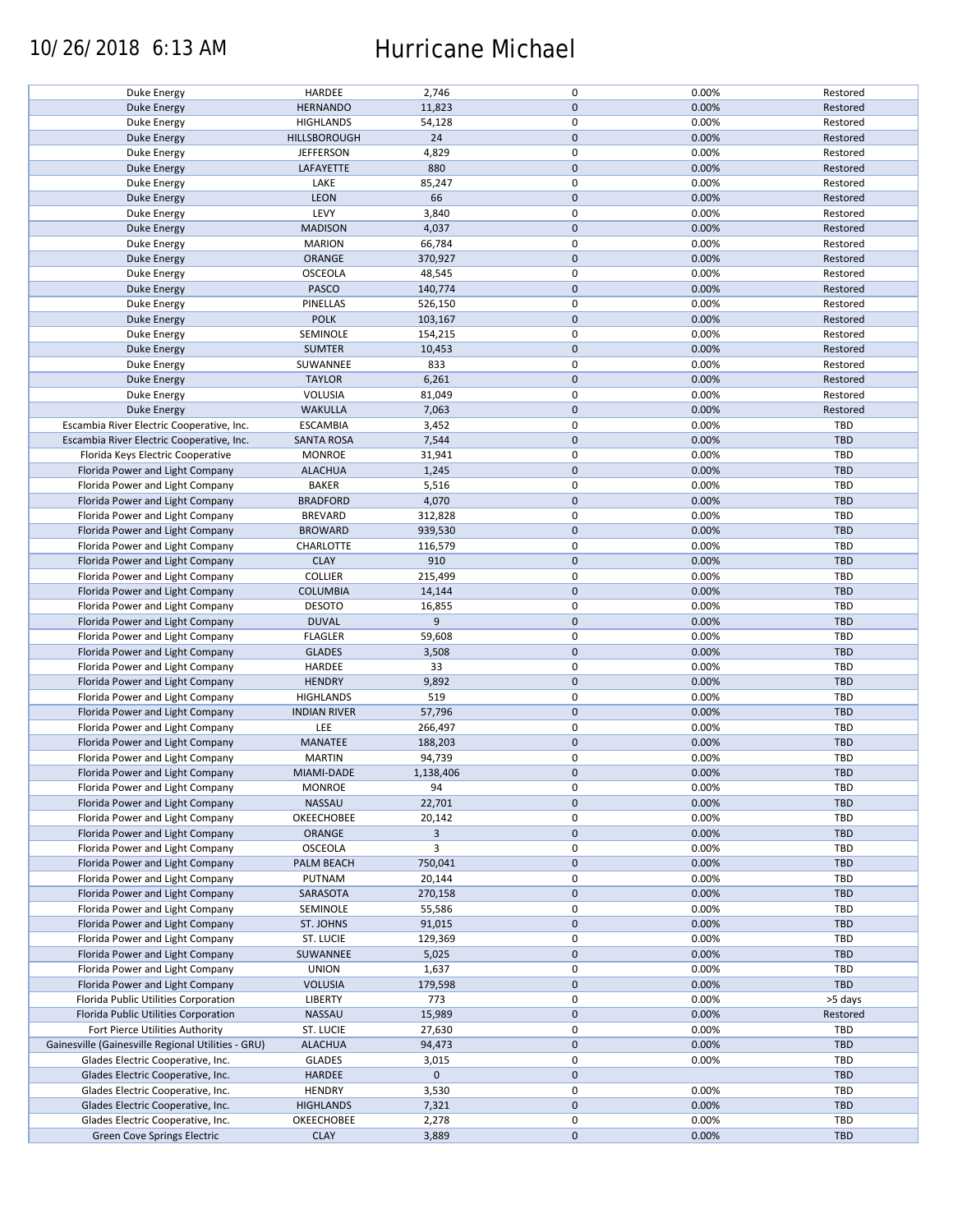### 10/26/2018 6:13 AM Hurricane Michael

| Duke Energy                                        | HARDEE              | 2,746          | $\mathsf 0$      | 0.00% | Restored   |
|----------------------------------------------------|---------------------|----------------|------------------|-------|------------|
| Duke Energy                                        | <b>HERNANDO</b>     | 11,823         | $\mathbf 0$      | 0.00% | Restored   |
| Duke Energy                                        | <b>HIGHLANDS</b>    | 54,128         | $\mathsf 0$      | 0.00% | Restored   |
| <b>Duke Energy</b>                                 | HILLSBOROUGH        | 24             | $\pmb{0}$        | 0.00% | Restored   |
|                                                    |                     | 4,829          | $\mathsf 0$      | 0.00% |            |
| Duke Energy                                        | <b>JEFFERSON</b>    |                |                  |       | Restored   |
| Duke Energy                                        | LAFAYETTE           | 880            | $\mathbf 0$      | 0.00% | Restored   |
| Duke Energy                                        | LAKE                | 85,247         | $\pmb{0}$        | 0.00% | Restored   |
| Duke Energy                                        | LEON                | 66             | $\mathbf 0$      | 0.00% | Restored   |
| Duke Energy                                        | LEVY                | 3,840          | $\pmb{0}$        | 0.00% | Restored   |
|                                                    |                     |                | $\mathbf 0$      |       |            |
| Duke Energy                                        | <b>MADISON</b>      | 4,037          |                  | 0.00% | Restored   |
| Duke Energy                                        | <b>MARION</b>       | 66,784         | $\mathsf 0$      | 0.00% | Restored   |
| <b>Duke Energy</b>                                 | ORANGE              | 370,927        | $\pmb{0}$        | 0.00% | Restored   |
| Duke Energy                                        | <b>OSCEOLA</b>      | 48,545         | $\mathsf 0$      | 0.00% | Restored   |
| Duke Energy                                        | PASCO               | 140,774        | $\mathbf 0$      | 0.00% | Restored   |
|                                                    |                     |                |                  |       |            |
| Duke Energy                                        | PINELLAS            | 526,150        | $\mathsf 0$      | 0.00% | Restored   |
| Duke Energy                                        | <b>POLK</b>         | 103,167        | $\mathbf 0$      | 0.00% | Restored   |
| Duke Energy                                        | SEMINOLE            | 154,215        | $\pmb{0}$        | 0.00% | Restored   |
| Duke Energy                                        | <b>SUMTER</b>       | 10,453         | $\pmb{0}$        | 0.00% | Restored   |
| Duke Energy                                        | SUWANNEE            | 833            | $\mathsf 0$      | 0.00% | Restored   |
|                                                    |                     |                |                  |       |            |
| Duke Energy                                        | <b>TAYLOR</b>       | 6,261          | $\mathbf 0$      | 0.00% | Restored   |
| Duke Energy                                        | VOLUSIA             | 81,049         | $\mathsf 0$      | 0.00% | Restored   |
| <b>Duke Energy</b>                                 | <b>WAKULLA</b>      | 7,063          | $\mathbf 0$      | 0.00% | Restored   |
| Escambia River Electric Cooperative, Inc.          | <b>ESCAMBIA</b>     | 3,452          | $\mathsf 0$      | 0.00% | TBD        |
| Escambia River Electric Cooperative, Inc.          | <b>SANTA ROSA</b>   | 7,544          | $\mathbf 0$      | 0.00% | TBD        |
|                                                    |                     |                |                  |       |            |
| Florida Keys Electric Cooperative                  | <b>MONROE</b>       | 31,941         | 0                | 0.00% | TBD        |
| Florida Power and Light Company                    | <b>ALACHUA</b>      | 1,245          | $\pmb{0}$        | 0.00% | <b>TBD</b> |
| Florida Power and Light Company                    | <b>BAKER</b>        | 5,516          | 0                | 0.00% | TBD        |
| Florida Power and Light Company                    | <b>BRADFORD</b>     | 4,070          | $\mathbf 0$      | 0.00% | TBD        |
| Florida Power and Light Company                    | <b>BREVARD</b>      | 312,828        | $\mathsf 0$      | 0.00% | TBD        |
|                                                    |                     |                |                  |       |            |
| Florida Power and Light Company                    | <b>BROWARD</b>      | 939,530        | $\mathbf 0$      | 0.00% | TBD        |
| Florida Power and Light Company                    | CHARLOTTE           | 116,579        | $\mathbf 0$      | 0.00% | <b>TBD</b> |
| Florida Power and Light Company                    | <b>CLAY</b>         | 910            | $\mathbf 0$      | 0.00% | TBD        |
| Florida Power and Light Company                    | <b>COLLIER</b>      | 215,499        | $\mathsf 0$      | 0.00% | TBD        |
| Florida Power and Light Company                    | <b>COLUMBIA</b>     | 14,144         | $\mathbf 0$      | 0.00% | <b>TBD</b> |
|                                                    |                     |                |                  |       |            |
| Florida Power and Light Company                    | <b>DESOTO</b>       | 16,855         | $\mathsf 0$      | 0.00% | <b>TBD</b> |
| Florida Power and Light Company                    | <b>DUVAL</b>        | 9              | $\mathbf 0$      | 0.00% | <b>TBD</b> |
| Florida Power and Light Company                    | <b>FLAGLER</b>      | 59,608         | $\mathsf 0$      | 0.00% | <b>TBD</b> |
| Florida Power and Light Company                    | <b>GLADES</b>       | 3,508          | $\mathbf 0$      | 0.00% | TBD        |
| Florida Power and Light Company                    | HARDEE              | 33             | $\mathsf 0$      | 0.00% | TBD        |
|                                                    |                     |                |                  |       |            |
| Florida Power and Light Company                    | <b>HENDRY</b>       | 9,892          | $\mathbf 0$      | 0.00% | TBD        |
| Florida Power and Light Company                    | <b>HIGHLANDS</b>    | 519            | $\mathsf 0$      | 0.00% | TBD        |
| Florida Power and Light Company                    | <b>INDIAN RIVER</b> | 57,796         | $\pmb{0}$        | 0.00% | TBD        |
| Florida Power and Light Company                    | LEE                 | 266,497        | 0                | 0.00% | TBD        |
| Florida Power and Light Company                    | MANATEE             | 188,203        | $\mathbf 0$      | 0.00% | <b>TBD</b> |
|                                                    |                     |                |                  |       |            |
| Florida Power and Light Company                    | <b>MARTIN</b>       | 94,739         | $\pmb{0}$        | 0.00% | TBD        |
| Florida Power and Light Company                    | MIAMI-DADE          | 1,138,406      | $\mathbf{0}$     | 0.00% | <b>TBD</b> |
| Florida Power and Light Company                    | <b>MONROE</b>       | 94             | $\mathsf 0$      | 0.00% | TBD        |
| Florida Power and Light Company                    | NASSAU              | 22,701         | $\mathbf 0$      | 0.00% | <b>TBD</b> |
|                                                    |                     |                |                  |       |            |
| Florida Power and Light Company                    | OKEECHOBEE          | 20,142         | 0                | 0.00% | TBD        |
| Florida Power and Light Company                    | ORANGE              | $\overline{3}$ | $\mathbf 0$      | 0.00% | <b>TBD</b> |
| Florida Power and Light Company                    | <b>OSCEOLA</b>      | 3              | 0                | 0.00% | TBD        |
| Florida Power and Light Company                    | PALM BEACH          | 750,041        | $\mathbf 0$      | 0.00% | TBD        |
| Florida Power and Light Company                    | PUTNAM              | 20,144         | $\mathsf 0$      | 0.00% | <b>TBD</b> |
| Florida Power and Light Company                    | SARASOTA            | 270,158        | $\boldsymbol{0}$ | 0.00% | TBD        |
|                                                    |                     |                |                  |       |            |
| Florida Power and Light Company                    | SEMINOLE            | 55,586         | $\mathsf 0$      | 0.00% | TBD        |
| Florida Power and Light Company                    | ST. JOHNS           | 91,015         | $\mathbf 0$      | 0.00% | TBD        |
| Florida Power and Light Company                    | ST. LUCIE           | 129,369        | $\mathsf 0$      | 0.00% | TBD        |
| Florida Power and Light Company                    | SUWANNEE            | 5,025          | $\mathbf 0$      | 0.00% | <b>TBD</b> |
| Florida Power and Light Company                    | <b>UNION</b>        |                | $\pmb{0}$        | 0.00% | TBD        |
|                                                    |                     | 1,637          |                  |       |            |
| Florida Power and Light Company                    | <b>VOLUSIA</b>      | 179,598        | $\mathbf 0$      | 0.00% | TBD        |
| Florida Public Utilities Corporation               | LIBERTY             | 773            | $\mathsf 0$      | 0.00% | >5 days    |
| Florida Public Utilities Corporation               | <b>NASSAU</b>       | 15,989         | $\boldsymbol{0}$ | 0.00% | Restored   |
| Fort Pierce Utilities Authority                    | ST. LUCIE           | 27,630         | $\pmb{0}$        | 0.00% | TBD        |
|                                                    |                     |                |                  |       |            |
| Gainesville (Gainesville Regional Utilities - GRU) | <b>ALACHUA</b>      | 94,473         | $\mathbf 0$      | 0.00% | TBD        |
| Glades Electric Cooperative, Inc.                  | <b>GLADES</b>       | 3,015          | $\mathsf 0$      | 0.00% | TBD        |
| Glades Electric Cooperative, Inc.                  | <b>HARDEE</b>       | $\mathbf 0$    | $\pmb{0}$        |       | TBD        |
| Glades Electric Cooperative, Inc.                  | <b>HENDRY</b>       | 3,530          | 0                | 0.00% | TBD        |
| Glades Electric Cooperative, Inc.                  | <b>HIGHLANDS</b>    | 7,321          | $\mathbf 0$      | 0.00% | TBD        |
|                                                    |                     |                |                  |       |            |
| Glades Electric Cooperative, Inc.                  | OKEECHOBEE          | 2,278          | $\mathbf 0$      | 0.00% | TBD        |
| Green Cove Springs Electric                        | <b>CLAY</b>         | 3,889          | $\pmb{0}$        | 0.00% | TBD        |